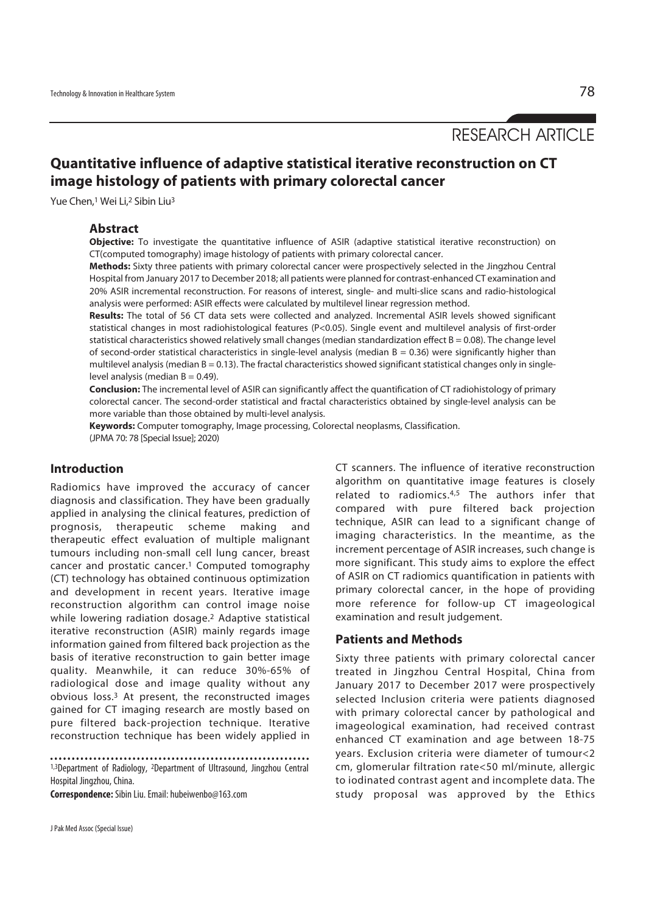# **Quantitative influence of adaptive statistical iterative reconstruction on CT image histology of patients with primary colorectal cancer**

Yue Chen,<sup>1</sup> Wei Li,<sup>2</sup> Sibin Liu<sup>3</sup>

## **Abstract**

**Objective:** To investigate the quantitative influence of ASIR (adaptive statistical iterative reconstruction) on CT(computed tomography) image histology of patients with primary colorectal cancer.

**Methods:** Sixty three patients with primary colorectal cancer were prospectively selected in the Jingzhou Central Hospital from January 2017 to December 2018; all patients were planned for contrast-enhanced CT examination and 20% ASIR incremental reconstruction. For reasons of interest, single- and multi-slice scans and radio-histological analysis were performed: ASIR effects were calculated by multilevel linear regression method.

**Results:** The total of 56 CT data sets were collected and analyzed. Incremental ASIR levels showed significant statistical changes in most radiohistological features (P<0.05). Single event and multilevel analysis of first-order statistical characteristics showed relatively small changes (median standardization effect  $B = 0.08$ ). The change level of second-order statistical characteristics in single-level analysis (median  $B = 0.36$ ) were significantly higher than multilevel analysis (median  $B = 0.13$ ). The fractal characteristics showed significant statistical changes only in singlelevel analysis (median  $B = 0.49$ ).

**Conclusion:** The incremental level of ASIR can significantly affect the quantification of CT radiohistology of primary colorectal cancer. The second-order statistical and fractal characteristics obtained by single-level analysis can be more variable than those obtained by multi-level analysis.

**Keywords:** Computer tomography, Image processing, Colorectal neoplasms, Classification. (JPMA 70: 78 [Special Issue]; 2020)

## **Introduction**

Radiomics have improved the accuracy of cancer diagnosis and classification. They have been gradually applied in analysing the clinical features, prediction of prognosis, therapeutic scheme making and therapeutic effect evaluation of multiple malignant tumours including non-small cell lung cancer, breast cancer and prostatic cancer.1 Computed tomography (CT) technology has obtained continuous optimization and development in recent years. Iterative image reconstruction algorithm can control image noise while lowering radiation dosage.2 Adaptive statistical iterative reconstruction (ASIR) mainly regards image information gained from filtered back projection as the basis of iterative reconstruction to gain better image quality. Meanwhile, it can reduce 30%-65% of radiological dose and image quality without any obvious loss.3 At present, the reconstructed images gained for CT imaging research are mostly based on pure filtered back-projection technique. Iterative reconstruction technique has been widely applied in

1,3Department of Radiology, 2Department of Ultrasound, Jingzhou Central Hospital Jingzhou, China.

**Correspondence:** Sibin Liu. Email: hubeiwenbo@163.com

CT scanners. The influence of iterative reconstruction algorithm on quantitative image features is closely related to radiomics.4,5 The authors infer that compared with pure filtered back projection technique, ASIR can lead to a significant change of imaging characteristics. In the meantime, as the increment percentage of ASIR increases, such change is more significant. This study aims to explore the effect of ASIR on CT radiomics quantification in patients with primary colorectal cancer, in the hope of providing more reference for follow-up CT imageological examination and result judgement.

## **Patients and Methods**

Sixty three patients with primary colorectal cancer treated in Jingzhou Central Hospital, China from January 2017 to December 2017 were prospectively selected Inclusion criteria were patients diagnosed with primary colorectal cancer by pathological and imageological examination, had received contrast enhanced CT examination and age between 18-75 years. Exclusion criteria were diameter of tumour<2 cm, glomerular filtration rate<50 ml/minute, allergic to iodinated contrast agent and incomplete data. The study proposal was approved by the Ethics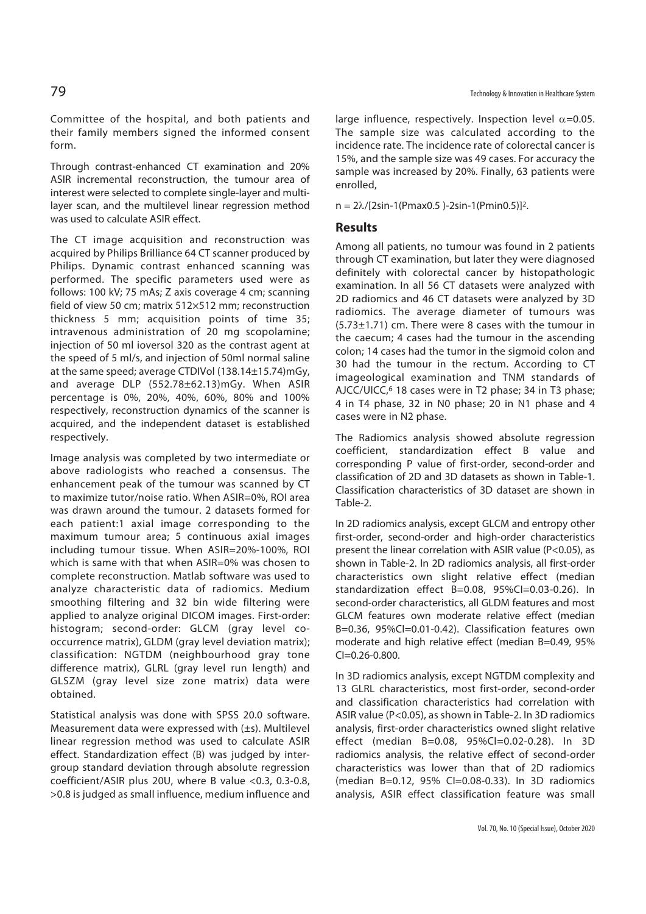Committee of the hospital, and both patients and their family members signed the informed consent form.

Through contrast-enhanced CT examination and 20% ASIR incremental reconstruction, the tumour area of interest were selected to complete single-layer and multilayer scan, and the multilevel linear regression method was used to calculate ASIR effect.

The CT image acquisition and reconstruction was acquired by Philips Brilliance 64 CT scanner produced by Philips. Dynamic contrast enhanced scanning was performed. The specific parameters used were as follows: 100 kV; 75 mAs; Z axis coverage 4 cm; scanning field of view 50 cm; matrix 512×512 mm; reconstruction thickness 5 mm; acquisition points of time 35; intravenous administration of 20 mg scopolamine; injection of 50 ml ioversol 320 as the contrast agent at the speed of 5 ml/s, and injection of 50ml normal saline at the same speed; average CTDIVol (138.14±15.74)mGy, and average DLP (552.78±62.13)mGy. When ASIR percentage is 0%, 20%, 40%, 60%, 80% and 100% respectively, reconstruction dynamics of the scanner is acquired, and the independent dataset is established respectively.

Image analysis was completed by two intermediate or above radiologists who reached a consensus. The enhancement peak of the tumour was scanned by CT to maximize tutor/noise ratio. When ASIR=0%, ROI area was drawn around the tumour. 2 datasets formed for each patient:1 axial image corresponding to the maximum tumour area; 5 continuous axial images including tumour tissue. When ASIR=20%-100%, ROI which is same with that when ASIR=0% was chosen to complete reconstruction. Matlab software was used to analyze characteristic data of radiomics. Medium smoothing filtering and 32 bin wide filtering were applied to analyze original DICOM images. First-order: histogram; second-order: GLCM (gray level cooccurrence matrix), GLDM (gray level deviation matrix); classification: NGTDM (neighbourhood gray tone difference matrix), GLRL (gray level run length) and GLSZM (gray level size zone matrix) data were obtained.

Statistical analysis was done with SPSS 20.0 software. Measurement data were expressed with (±s). Multilevel linear regression method was used to calculate ASIR effect. Standardization effect (B) was judged by intergroup standard deviation through absolute regression coefficient/ASIR plus 20U, where B value <0.3, 0.3-0.8, >0.8 is judged as small influence, medium influence and large influence, respectively. Inspection level  $\alpha$ =0.05. The sample size was calculated according to the incidence rate. The incidence rate of colorectal cancer is 15%, and the sample size was 49 cases. For accuracy the sample was increased by 20%. Finally, 63 patients were enrolled,

 $n = 2\lambda/[2\sin^{-1}(Pmax0.5) - 2\sin^{-1}(Pmin0.5)]^{2}$ .

## **Results**

Among all patients, no tumour was found in 2 patients through CT examination, but later they were diagnosed definitely with colorectal cancer by histopathologic examination. In all 56 CT datasets were analyzed with 2D radiomics and 46 CT datasets were analyzed by 3D radiomics. The average diameter of tumours was (5.73±1.71) cm. There were 8 cases with the tumour in the caecum; 4 cases had the tumour in the ascending colon; 14 cases had the tumor in the sigmoid colon and 30 had the tumour in the rectum. According to CT imageological examination and TNM standards of AJCC/UICC,6 18 cases were in T2 phase; 34 in T3 phase; 4 in T4 phase, 32 in N0 phase; 20 in N1 phase and 4 cases were in N2 phase.

The Radiomics analysis showed absolute regression coefficient, standardization effect B value and corresponding P value of first-order, second-order and classification of 2D and 3D datasets as shown in Table-1. Classification characteristics of 3D dataset are shown in Table-2.

In 2D radiomics analysis, except GLCM and entropy other first-order, second-order and high-order characteristics present the linear correlation with ASIR value (P<0.05), as shown in Table-2. In 2D radiomics analysis, all first-order characteristics own slight relative effect (median standardization effect B=0.08, 95%CI=0.03-0.26). In second-order characteristics, all GLDM features and most GLCM features own moderate relative effect (median B=0.36, 95%CI=0.01-0.42). Classification features own moderate and high relative effect (median B=0.49, 95% CI=0.26-0.800.

In 3D radiomics analysis, except NGTDM complexity and 13 GLRL characteristics, most first-order, second-order and classification characteristics had correlation with ASIR value (P<0.05), as shown in Table-2. In 3D radiomics analysis, first-order characteristics owned slight relative effect (median B=0.08, 95%CI=0.02-0.28). In 3D radiomics analysis, the relative effect of second-order characteristics was lower than that of 2D radiomics (median B=0.12, 95% CI=0.08-0.33). In 3D radiomics analysis, ASIR effect classification feature was small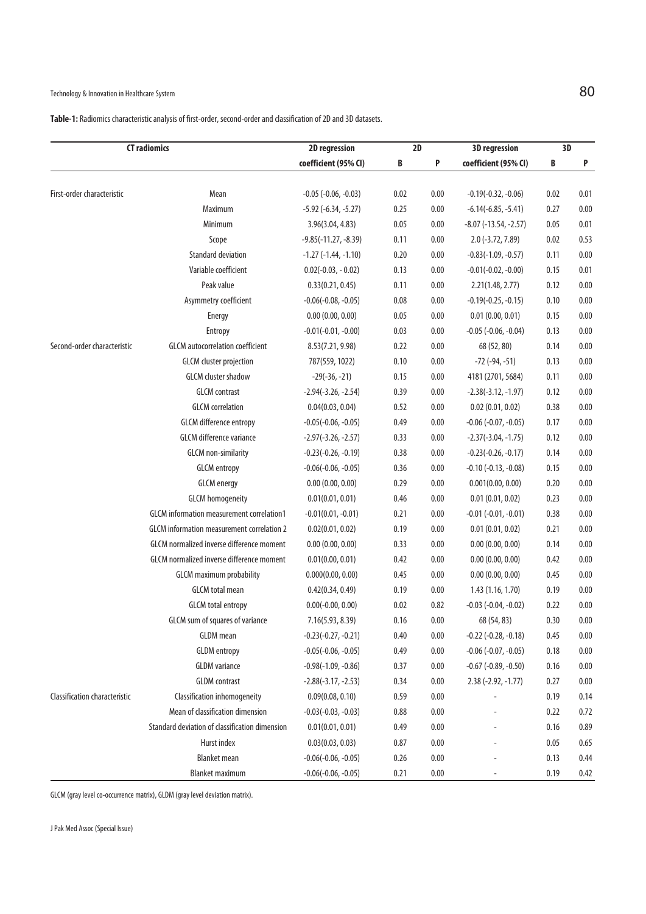# Technology & Innovation in Healthcare System  $80$

|                               | <b>CT radiomics</b>                              | 2D regression                 | $\overline{2D}$ |          | <b>3D</b> regression           | 3D   |          |
|-------------------------------|--------------------------------------------------|-------------------------------|-----------------|----------|--------------------------------|------|----------|
|                               |                                                  | coefficient (95% CI)          | B               | P        | coefficient (95% CI)           | B    | P        |
|                               |                                                  |                               |                 |          |                                |      |          |
| First-order characteristic    | Mean                                             | $-0.05$ $(-0.06, -0.03)$      | 0.02            | 0.00     | $-0.19(-0.32, -0.06)$          | 0.02 | 0.01     |
|                               | Maximum                                          | $-5.92$ ( $-6.34$ , $-5.27$ ) | 0.25            | 0.00     | $-6.14(-6.85, -5.41)$          | 0.27 | 0.00     |
|                               | Minimum                                          | 3.96(3.04, 4.83)              | 0.05            | 0.00     | $-8.07$ ( $-13.54$ , $-2.57$ ) | 0.05 | 0.01     |
|                               | Scope                                            | $-9.85(-11.27, -8.39)$        | 0.11            | 0.00     | $2.0$ (-3.72, 7.89)            | 0.02 | 0.53     |
|                               | <b>Standard deviation</b>                        | $-1.27$ ( $-1.44$ , $-1.10$ ) | 0.20            | 0.00     | $-0.83(-1.09, -0.57)$          | 0.11 | 0.00     |
|                               | Variable coefficient                             | $0.02(-0.03, -0.02)$          | 0.13            | 0.00     | $-0.01(-0.02, -0.00)$          | 0.15 | 0.01     |
|                               | Peak value                                       | 0.33(0.21, 0.45)              | 0.11            | 0.00     | 2.21(1.48, 2.77)               | 0.12 | 0.00     |
|                               | Asymmetry coefficient                            | $-0.06(-0.08, -0.05)$         | 0.08            | 0.00     | $-0.19(-0.25, -0.15)$          | 0.10 | 0.00     |
|                               | Energy                                           | 0.00(0.00, 0.00)              | 0.05            | 0.00     | 0.01(0.00, 0.01)               | 0.15 | 0.00     |
|                               | Entropy                                          | $-0.01(-0.01, -0.00)$         | 0.03            | 0.00     | $-0.05$ ( $-0.06$ , $-0.04$ )  | 0.13 | 0.00     |
| Second-order characteristic   | <b>GLCM</b> autocorrelation coefficient          | 8.53(7.21, 9.98)              | 0.22            | 0.00     | 68 (52, 80)                    | 0.14 | 0.00     |
|                               | <b>GLCM</b> cluster projection                   | 787(559, 1022)                | 0.10            | 0.00     | $-72$ ( $-94$ , $-51$ )        | 0.13 | 0.00     |
|                               | <b>GLCM</b> cluster shadow                       | $-29(-36, -21)$               | 0.15            | 0.00     | 4181 (2701, 5684)              | 0.11 | 0.00     |
|                               | <b>GLCM</b> contrast                             | $-2.94(-3.26, -2.54)$         | 0.39            | 0.00     | $-2.38(-3.12, -1.97)$          | 0.12 | 0.00     |
|                               | <b>GLCM</b> correlation                          | 0.04(0.03, 0.04)              | 0.52            | 0.00     | 0.02(0.01, 0.02)               | 0.38 | 0.00     |
|                               | <b>GLCM</b> difference entropy                   | $-0.05(-0.06, -0.05)$         | 0.49            | 0.00     | $-0.06$ $(-0.07, -0.05)$       | 0.17 | 0.00     |
|                               | <b>GLCM</b> difference variance                  | $-2.97(-3.26, -2.57)$         | 0.33            | 0.00     | $-2.37(-3.04, -1.75)$          | 0.12 | 0.00     |
|                               | <b>GLCM</b> non-similarity                       | $-0.23(-0.26, -0.19)$         | 0.38            | 0.00     | $-0.23(-0.26, -0.17)$          | 0.14 | 0.00     |
|                               | <b>GLCM</b> entropy                              | $-0.06(-0.06, -0.05)$         | 0.36            | 0.00     | $-0.10$ $(-0.13, -0.08)$       | 0.15 | 0.00     |
|                               | <b>GLCM</b> energy                               | 0.00(0.00, 0.00)              | 0.29            | 0.00     | 0.001(0.00, 0.00)              | 0.20 | $0.00\,$ |
|                               | <b>GLCM</b> homogeneity                          | 0.01(0.01, 0.01)              | 0.46            | 0.00     | 0.01(0.01, 0.02)               | 0.23 | 0.00     |
|                               | GLCM information measurement correlation1        | $-0.01(0.01, -0.01)$          | 0.21            | 0.00     | $-0.01$ $(-0.01, -0.01)$       | 0.38 | 0.00     |
|                               | GLCM information measurement correlation 2       | 0.02(0.01, 0.02)              | 0.19            | 0.00     | 0.01(0.01, 0.02)               | 0.21 | 0.00     |
|                               | <b>GLCM</b> normalized inverse difference moment | 0.00(0.00, 0.00)              | 0.33            | 0.00     | 0.00(0.00, 0.00)               | 0.14 | 0.00     |
|                               | GLCM normalized inverse difference moment        | 0.01(0.00, 0.01)              | 0.42            | 0.00     | 0.00(0.00, 0.00)               | 0.42 | 0.00     |
|                               | <b>GLCM</b> maximum probability                  | 0.000(0.00, 0.00)             | 0.45            | 0.00     | 0.00(0.00, 0.00)               | 0.45 | 0.00     |
|                               | <b>GLCM</b> total mean                           | 0.42(0.34, 0.49)              | 0.19            | 0.00     | 1.43(1.16, 1.70)               | 0.19 | 0.00     |
|                               | <b>GLCM</b> total entropy                        | $0.00(-0.00, 0.00)$           | 0.02            | 0.82     | $-0.03$ $(-0.04, -0.02)$       | 0.22 | 0.00     |
|                               | GLCM sum of squares of variance                  | 7.16(5.93, 8.39)              | 0.16            | 0.00     | 68 (54, 83)                    | 0.30 | 0.00     |
|                               | <b>GLDM</b> mean                                 | $-0.23(-0.27, -0.21)$         | 0.40            | 0.00     | $-0.22$ ( $-0.28$ , $-0.18$ )  | 0.45 | 0.00     |
|                               | <b>GLDM</b> entropy                              | $-0.05(-0.06, -0.05)$         | 0.49            | 0.00     | $-0.06$ $(-0.07, -0.05)$       | 0.18 | 0.00     |
|                               | <b>GLDM</b> variance                             | $-0.98(-1.09, -0.86)$         | 0.37            | 0.00     | $-0.67$ ( $-0.89$ , $-0.50$ )  | 0.16 | 0.00     |
|                               | <b>GLDM</b> contrast                             | $-2.88(-3.17, -2.53)$         | 0.34            | 0.00     | $2.38(-2.92, -1.77)$           | 0.27 | 0.00     |
| Classification characteristic | Classification inhomogeneity                     | 0.09(0.08, 0.10)              | 0.59            | 0.00     |                                | 0.19 | 0.14     |
|                               | Mean of classification dimension                 | $-0.03(-0.03, -0.03)$         | 0.88            | 0.00     |                                | 0.22 | 0.72     |
|                               | Standard deviation of classification dimension   | 0.01(0.01, 0.01)              | 0.49            | 0.00     |                                | 0.16 | 0.89     |
|                               | Hurst index                                      | 0.03(0.03, 0.03)              | 0.87            | 0.00     |                                | 0.05 | 0.65     |
|                               | <b>Blanket mean</b>                              | $-0.06(-0.06, -0.05)$         | 0.26            | 0.00     |                                | 0.13 | 0.44     |
|                               | <b>Blanket maximum</b>                           | $-0.06(-0.06, -0.05)$         | 0.21            | $0.00\,$ |                                | 0.19 | 0.42     |

GLCM (gray level co-occurrence matrix), GLDM (gray level deviation matrix).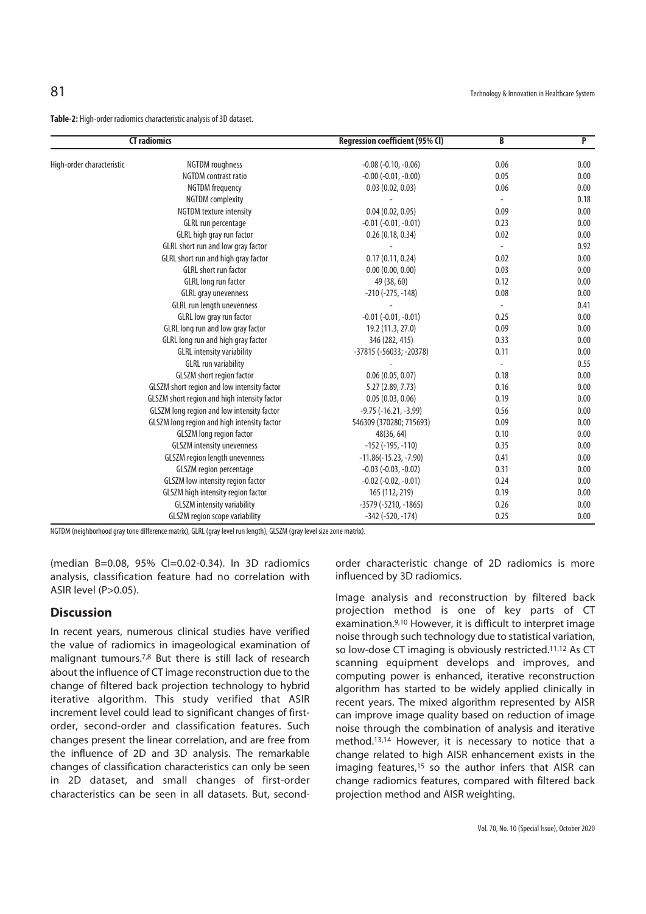**Table-2:** High-order radiomics characteristic analysis of 3D dataset.

| <b>CT radiomics</b>       |                                              | <b>Regression coefficient (95% CI)</b> | B        | P    |  |
|---------------------------|----------------------------------------------|----------------------------------------|----------|------|--|
| High-order characteristic | NGTDM roughness                              | $-0.08$ $(-0.10, -0.06)$               | 0.06     | 0.00 |  |
|                           | NGTDM contrast ratio                         | $-0.00$ $(-0.01, -0.00)$               | 0.05     | 0.00 |  |
|                           | <b>NGTDM</b> frequency                       | 0.03(0.02, 0.03)                       | 0.06     | 0.00 |  |
|                           | <b>NGTDM</b> complexity                      |                                        | ÷,       | 0.18 |  |
|                           | <b>NGTDM</b> texture intensity               | 0.04(0.02, 0.05)                       | 0.09     | 0.00 |  |
|                           | GLRL run percentage                          | $-0.01$ $(-0.01, -0.01)$               | 0.23     | 0.00 |  |
|                           | GLRL high gray run factor                    | 0.26(0.18, 0.34)                       | 0.02     | 0.00 |  |
|                           | GLRL short run and low gray factor           |                                        | $\omega$ | 0.92 |  |
|                           | GLRL short run and high gray factor          | 0.17(0.11, 0.24)                       | 0.02     | 0.00 |  |
|                           | <b>GLRL</b> short run factor                 | 0.00(0.00, 0.00)                       | 0.03     | 0.00 |  |
|                           | GLRL long run factor                         | 49 (38, 60)                            | 0.12     | 0.00 |  |
|                           | <b>GLRL</b> gray unevenness                  | $-210$ ( $-275$ , $-148$ )             | 0.08     | 0.00 |  |
|                           | GLRL run length unevenness                   |                                        |          | 0.41 |  |
|                           | GLRL low gray run factor                     | $-0.01$ $(-0.01, -0.01)$               | 0.25     | 0.00 |  |
|                           | GLRL long run and low gray factor            | 19.2 (11.3, 27.0)                      | 0.09     | 0.00 |  |
|                           | GLRL long run and high gray factor           | 346 (282, 415)                         | 0.33     | 0.00 |  |
|                           | <b>GLRL</b> intensity variability            | -37815 (-56033; -20378)                | 0.11     | 0.00 |  |
|                           | <b>GLRL run variability</b>                  |                                        |          | 0.55 |  |
|                           | GLSZM short region factor                    | 0.06(0.05, 0.07)                       | 0.18     | 0.00 |  |
|                           | GLSZM short region and low intensity factor  | 5.27 (2.89, 7.73)                      | 0.16     | 0.00 |  |
|                           | GLSZM short region and high intensity factor | 0.05(0.03, 0.06)                       | 0.19     | 0.00 |  |
|                           | GLSZM long region and low intensity factor   | $-9.75$ ( $-16.21$ , $-3.99$ )         | 0.56     | 0.00 |  |
|                           | GLSZM long region and high intensity factor  | 546309 (370280; 715693)                | 0.09     | 0.00 |  |
|                           | <b>GLSZM</b> long region factor              | 48(36, 64)                             | 0.10     | 0.00 |  |
|                           | <b>GLSZM</b> intensity unevenness            | $-152$ ( $-195, -110$ )                | 0.35     | 0.00 |  |
|                           | <b>GLSZM</b> region length unevenness        | $-11.86(-15.23, -7.90)$                | 0.41     | 0.00 |  |
|                           | <b>GLSZM</b> region percentage               | $-0.03$ $(-0.03, -0.02)$               | 0.31     | 0.00 |  |
|                           | GLSZM low intensity region factor            | $-0.02$ $(-0.02, -0.01)$               | 0.24     | 0.00 |  |
|                           | GLSZM high intensity region factor           | 165 (112, 219)                         | 0.19     | 0.00 |  |
|                           | <b>GLSZM</b> intensity variability           | $-3579$ ( $-5210$ , $-1865$ )          | 0.26     | 0.00 |  |
|                           | <b>GLSZM</b> region scope variability        | $-342$ ( $-520$ , $-174$ )             | 0.25     | 0.00 |  |

NGTDM (neighborhood gray tone difference matrix), GLRL (gray level run length), GLSZM (gray level size zone matrix).

(median B=0.08, 95% CI=0.02-0.34). In 3D radiomics analysis, classification feature had no correlation with ASIR level (P>0.05).

# **Discussion**

In recent years, numerous clinical studies have verified the value of radiomics in imageological examination of malignant tumours.7,8 But there is still lack of research about the influence of CT image reconstruction due to the change of filtered back projection technology to hybrid iterative algorithm. This study verified that ASIR increment level could lead to significant changes of firstorder, second-order and classification features. Such changes present the linear correlation, and are free from the influence of 2D and 3D analysis. The remarkable changes of classification characteristics can only be seen in 2D dataset, and small changes of first-order characteristics can be seen in all datasets. But, secondorder characteristic change of 2D radiomics is more influenced by 3D radiomics.

Image analysis and reconstruction by filtered back projection method is one of key parts of CT examination.9,10 However, it is difficult to interpret image noise through such technology due to statistical variation, so low-dose CT imaging is obviously restricted.11,12 As CT scanning equipment develops and improves, and computing power is enhanced, iterative reconstruction algorithm has started to be widely applied clinically in recent years. The mixed algorithm represented by AISR can improve image quality based on reduction of image noise through the combination of analysis and iterative method.13,14 However, it is necessary to notice that a change related to high AISR enhancement exists in the imaging features,<sup>15</sup> so the author infers that AISR can change radiomics features, compared with filtered back projection method and AISR weighting.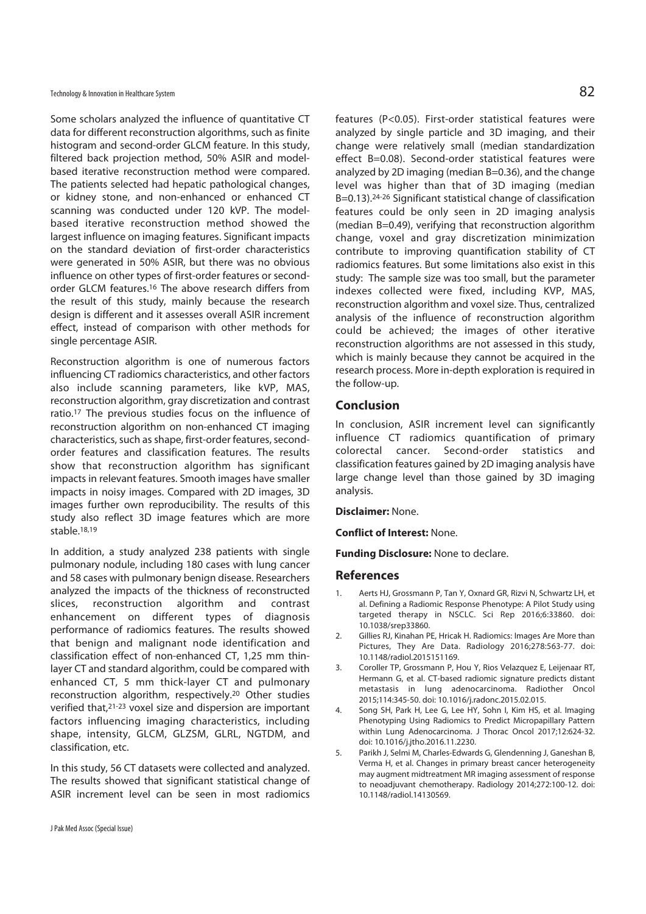Some scholars analyzed the influence of quantitative CT data for different reconstruction algorithms, such as finite histogram and second-order GLCM feature. In this study, filtered back projection method, 50% ASIR and modelbased iterative reconstruction method were compared. The patients selected had hepatic pathological changes, or kidney stone, and non-enhanced or enhanced CT scanning was conducted under 120 kVP. The modelbased iterative reconstruction method showed the largest influence on imaging features. Significant impacts on the standard deviation of first-order characteristics were generated in 50% ASIR, but there was no obvious influence on other types of first-order features or secondorder GLCM features.16 The above research differs from the result of this study, mainly because the research design is different and it assesses overall ASIR increment effect, instead of comparison with other methods for single percentage ASIR.

Reconstruction algorithm is one of numerous factors influencing CT radiomics characteristics, and other factors also include scanning parameters, like kVP, MAS, reconstruction algorithm, gray discretization and contrast ratio.17 The previous studies focus on the influence of reconstruction algorithm on non-enhanced CT imaging characteristics, such as shape, first-order features, secondorder features and classification features. The results show that reconstruction algorithm has significant impacts in relevant features. Smooth images have smaller impacts in noisy images. Compared with 2D images, 3D images further own reproducibility. The results of this study also reflect 3D image features which are more stable.18,19

In addition, a study analyzed 238 patients with single pulmonary nodule, including 180 cases with lung cancer and 58 cases with pulmonary benign disease. Researchers analyzed the impacts of the thickness of reconstructed slices, reconstruction algorithm and contrast enhancement on different types of diagnosis performance of radiomics features. The results showed that benign and malignant node identification and classification effect of non-enhanced CT, 1,25 mm thinlayer CT and standard algorithm, could be compared with enhanced CT, 5 mm thick-layer CT and pulmonary reconstruction algorithm, respectively.20 Other studies verified that,21-23 voxel size and dispersion are important factors influencing imaging characteristics, including shape, intensity, GLCM, GLZSM, GLRL, NGTDM, and classification, etc.

In this study, 56 CT datasets were collected and analyzed. The results showed that significant statistical change of ASIR increment level can be seen in most radiomics

features (P<0.05). First-order statistical features were analyzed by single particle and 3D imaging, and their change were relatively small (median standardization effect B=0.08). Second-order statistical features were analyzed by 2D imaging (median B=0.36), and the change level was higher than that of 3D imaging (median B=0.13).24-26 Significant statistical change of classification features could be only seen in 2D imaging analysis (median B=0.49), verifying that reconstruction algorithm change, voxel and gray discretization minimization contribute to improving quantification stability of CT radiomics features. But some limitations also exist in this study: The sample size was too small, but the parameter indexes collected were fixed, including KVP, MAS, reconstruction algorithm and voxel size. Thus, centralized analysis of the influence of reconstruction algorithm could be achieved; the images of other iterative reconstruction algorithms are not assessed in this study, which is mainly because they cannot be acquired in the research process. More in-depth exploration is required in the follow-up.

### **Conclusion**

In conclusion, ASIR increment level can significantly influence CT radiomics quantification of primary colorectal cancer. Second-order statistics and classification features gained by 2D imaging analysis have large change level than those gained by 3D imaging analysis.

**Disclaimer:** None.

**Conflict of Interest:** None.

**Funding Disclosure:** None to declare.

## **References**

- 1. Aerts HJ, Grossmann P, Tan Y, Oxnard GR, Rizvi N, Schwartz LH, et al. Defining a Radiomic Response Phenotype: A Pilot Study using targeted therapy in NSCLC. Sci Rep 2016;6:33860. doi: 10.1038/srep33860.
- 2. Gillies RJ, Kinahan PE, Hricak H. Radiomics: Images Are More than Pictures, They Are Data. Radiology 2016;278:563-77. doi: 10.1148/radiol.2015151169.
- 3. Coroller TP, Grossmann P, Hou Y, Rios Velazquez E, Leijenaar RT, Hermann G, et al. CT-based radiomic signature predicts distant metastasis in lung adenocarcinoma. Radiother Oncol 2015;114:345-50. doi: 10.1016/j.radonc.2015.02.015.
- 4. Song SH, Park H, Lee G, Lee HY, Sohn I, Kim HS, et al. Imaging Phenotyping Using Radiomics to Predict Micropapillary Pattern within Lung Adenocarcinoma. J Thorac Oncol 2017;12:624-32. doi: 10.1016/j.jtho.2016.11.2230.
- 5. Parikh J, Selmi M, Charles-Edwards G, Glendenning J, Ganeshan B, Verma H, et al. Changes in primary breast cancer heterogeneity may augment midtreatment MR imaging assessment of response to neoadjuvant chemotherapy. Radiology 2014;272:100-12. doi: 10.1148/radiol.14130569.